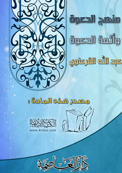





<u>agle,milledge</u>

## <u>8 லீவிடு இத்திருக்கு நிலை த</u>



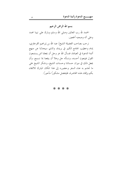بسم الله الرحمن الرحيم الحمد لله رب العالمين وصلى الله وسلم وبارك على نبينا محمد وعلى أله وصحبه أجمعين.

نرحب بصاحب الفضيلة الشيخ/ عبد الله بن إبراهيم القرعاوي، إمام وخطيب الجامع الكبير في بريدة، والذي سيحدثنا عن منهج أئمة الدعوة في العبادة، فنسأل الله عز وحل أن يجعلنا ممن يستمعون القول فيتبعون أحسنه، ونسأله حل وعلا أن ينفعنا بما نسمع، وأن يجعل ذلك في ميزان حسناتنا وحسنات الشيخ، ونشكر الشيخ على ما تجشم به عناء السفر وحضوره إلى هذا المكان المبارك للالتقاء بكم وإلقاء هذه المحاضرة، فليتفضل مشكورًا مأجورًا.

## \* \* \* \*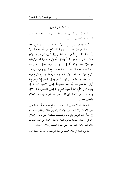بسم الله الرحمن الرحيم

الحمد لله رب العالمين وصلى الله وسلم على نبينا محمد وعلى آله وصحبه أجمعين، وبعد..

نحمد الله عز وحل على ما منَّ به علينا من نعمة الإسلام، وإنها لنعمة عظيمة، قال الله عز وحل: ﴿وَمَنْ يَبْتَغِ غَيْرَ الْإِسْلَامِ دِينًا فَلَنْ يُقْبَلَ مِنْهُ وَهُوَ فِي الْآَخِرَةِ مِنَ الْخَاسِرِينَ﴾ [سورة آل عمران، الآية: ٨٥]. وقال عز وحل: ﴿قُلْ بفَضْلِ اللَّهِ وَبرَحْمَتِهِ فَبذَلِكَ فَلْيَفْرَحُوا هُوَ خَيْرٌ مِمَّا يَجْمَعُونَ﴾ [سورة يونس، الآية: ٥٨]. ففضل الله الإسلام، ورحمته أن هدانا للإسلام؛ فالفرح الذي يثاب عليه هو الفرح بالإسلام والعمل بالإسلام، وأما غيره فلا يشرع الفرح فيه؛ بل هو مذموم كما جاء في قول الله عز وجل: ﴿حَتَّمِي إِذَا فَوحُوا بِمَا أُوتُوا أَخَذْنَاهُمْ بَغْتَةً فَإِذَا هُمْ مُبْلِسُونَ﴾ [سورة الأنعام، الآية: ٤٤]، وقوله تعالى: ﴿إِنَّ اللَّهَ لَا يُحِبُّ الْفَرحِينَ﴾ [سورة القصص، الآية: ٧٦]، وغير ذلك من الأدلة التي تدل على ذم الفرح في غير الإسلام والعمل الصالح.

فنحمد الله لا نحصى ثناء عليه، ونسأله سبحانه أن يثبتنا على دين الإسلام وأن يميتنا على الإيمان؛ إنه وليَّ ذلك والقادر عليه، ثم إين أسأل الله التوفيق والإعانة والتسديد للقائمين على وقف الإسلام الخيري؛ حيث اهتموا بدعوة شيخ الإسلام محمد بن عبد الوهاب وإنها لهمة عالية رفيعة تدل على صحة المعتقد وسلامة العقيدة.

فدعوة شيخ الإسلام محمد بن عبد الوهاب رحمه الله حبها إيمان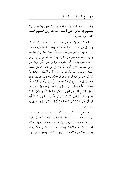وبغضها نفاق؛ لقوله ﷺ في الأنصار: «لا يحبهم إلا مؤمن ولا يبغضهم إلا منافق، فمن أحبهم أحبه الله ومن أبغضهم أبغضه الله». , واه البخاري.

فدعوة شيخ الإسلام يجب حبها؛ لأن هذا الحديث في الأنصار وفي كلِّ من نصر دين الله؛ فحبه إيمان وبغضه نفاق؛ فالإمام محمد بن عبد الوهاب نصر دين الله فنصره الله؛ حيث دعا إلى توحيد الله وإفراده بالعبادة وحذَّر من الشرك في عبادة الله عز وجل، وأمر بإقامة الحدود وإقامة الأمر بالمعروف والنهي عن المنكر، وهذا هو الدين الصحيح الذي أمرنا الله به؛ بل هي دعوة الرسل عليهم الصلاة والسلام؛ كما قال الله عز وجل: ﴿وَمَا أَرْسَلْنَا مِنْ قَبْلِكَ مِنْ رَسُول إلَّا نُوحِى إلَيْهِ أَنَّهُ لَا إِلَهَ إلَّا أَنَا فَاعْبُدُونِ﴾ [سورة الأنبياء، الآية: ٢٥]، وقال عز وجل: ﴿وَلَقَلْا بَعَثْنَا فِي كُلِّ أُمَّةٍ رَسُولًا أَنِ اُعْبُدُوا اللَّهَ وَاجْتَنبُوا الطَّاغُوتَ﴾... الآية. [سورة النحل، الآية: ٣٦]، وقال عز وحل: ﴿شَرَعَ لَكُمْ مِنَ اللَّهِنِ مَا وَصَّى بِهِ نُوحًا وَالَّذِي أَوْحَيْنَا إِلَيْكَ وَمَا وَصَّيّْنَا بِهِ إِبْرَاهِيمَ وَمُوسَى وَعِيسَى أَنْ أَقِيمُوا اللِّينَ وَلَا تَتَفَرَّقُوا فِيهِ كَبُرَ عَلَى الْمُشْرِكِينَ مَا تَدْعُوهُمْ إِلَيْهِ﴾... الآية. [سورة الشورى، الآية: ١٣].

هذه هي دعوة الرسل مِن أوَّلهم إلى آخرهم، ومحمد بن عبد الوهاب رحمه الله نسبت هذه الدعوة إليه لأنه حدَّدَها في القرن الثاني عشر؛ جلَّد ما اندرس منها؛ حيث استحكمت غربة الإسلام فعبدت الأصنام والأوثان وعبدت القباب والقبور والأضرحة، وعبدت الأشجار والأحجار وصرفوا لها النذور وذبحوا لها من دون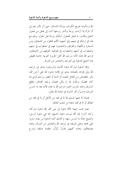الله وسألوها تفريج الكربات وإزالة الشدائد، حتى آل الأمر بمم إلى أن المرأة إذا أرادت زوجًا وتأخر زواجها أتت إلى فحل من فحول النخل وقالت: يا فحل الفحول أسألك زوجًا قبل الحول. وهم مع هذا في ارتباكٍ في دينهم وفي أمنهم؛ لأَهْم يخافون من الشياطين ومن السحرة والكهان والعرافين والمنجمين؛ فهم في اضطراب في دينهم واضطراب في أمنهم واضطراب في قلوهم؛ لخوفهم من الشياطين، فرحم الله هذه الأمة ورحم الله أهل الجزيرة العربية خاصة فقيض هذا الشيخ للدعوة إلى التوحيد والتحذير من الشرك.

وإلها لدعوة مباركة دعوة الأنبياء والمرسلين؛ يدعو إلى توحيد الله وإلى إفراده بالعبادة، يدعو إلى إقامة حدود الله على أرض الله، يأمر بالقصاص من القاتل المتعمد أو الدية أو العفو، ورَجْم الزاني إذا كان محصنًا، وجَلْده إذا لم يكن محصنًا، وجلد القاذف وقطع السارق وجلد شارب الخمر؛ فرحم الله به هذه الأمة بعد ما اندرس التوحيد وشبَّ وكثر الشرك في عبادة الله تعالى.

فلماذا لا يحبها المسلم إلا لما في قلبه من الدُّغل أو لما في قلبه من النفاق أو لما في قلبه شعبة من شعب النفاق.

نعم؛ يجب حبها؛ لأَهْا دعوة إلى دين الله، إِهَا دعوة مباركة، وكما أشرنا إليه ألها ليست دعوة الشيخ؛ إنما هي دعوة الرسل، والشيخ جدَّد ما اندرس منها، وكذلك أئمة الدعوة من بعده ساروا على فمجه وعلى طريقته في توحيد الله والتحذير من الشرك، وهذه مصنفاتهم، وهذه كتبهم عَذْبٌ زُلالٌ، عقيدة صافية وشرح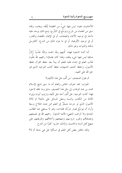للأحاديث مفيد؛ ليس فيها شيءٌ من العقيدة يُنْتَقَد ويعاب، ولقد سبق من العلماء من شَرَحٍ وتوسَّعٍ في الشَّرح، ومع ذلك يوجد عليه مآخذ في توحيد الأسماء والصفات، أو في الإيمان بالقضاء والقدر، أو في توحيد الألوهية، أو في ما دون ذلك من البدع؛ كالتوسل بالجاه والذوات وغير ذلك.

أما أئمة الدعوة فهذه كُتبهم ولله الحمد والمَّة عَذْبٌ زُلالٌ صافية ليس فيها شيء ينتقد، ولهذا كان علماؤنا رحمهم الله يحتَّون طالب العلم في ابتداء طلبه للعلم أن يبدأ بعد حفظ القرآن بحفظ الأصول، وحفظ كشف الشبهات حفظ كتاب التوحيد الذي هو حق الله على العبيد.

ثم نقول للمنصف: مَن ألَّف مثل هذا التأليف؟

الجواب: لقد اعترف الخاص والعام أنه ما سبق شيخ الإسلام محمد بن عبد الوهاب إلى مثل هذا التصنيف سابق وما لحقه لاحق؛ فهذا كتاب التوحيد: هل أَلَّفَ أحد مثل تأليفه وترتيب أبوابه وإيراد الأدلة من الكتاب والسنة وجعل المسائل على ذلك؟ ثم ثلاثة الأصول الذي لو شرحه متبحِّرٌ في العلم ممن عنده اطلاع وسعة وأراد أن يتوسَّعَ لصارٍ شرْحُه مجلدات، وهو لا يستغني عنه الطالب المبتدئ ولا الراغب المنتهى؛ فأئمة الدعوة رحمهم الله في تصنيفهم ومصنفاقم وتقرير دروسهم ومنهجهم وأحلاقهم وطريقتهم على منهج أهل السنة والحديث، ولذلك حاربوا كثيرًا من البدع.

ولقد تناقش بعض أهل العلم في مسألةٍ؛ هل هي بدعة أم لا؟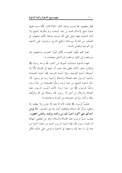فقال بعضهم: إِلَها ليست ببدعة. قالوا: لماذا؟ قالوا: لأَلها مرت عليها دعوة شيخ الإسلام محمد بن عبد الوهاب ولم ينكرها الشيخ ولا أئمة الدعوة؛ فهذا دليل على ألها ليست ببدعة؛ لألهم اجتهدوا في التحذير من الشرك ووسائله وجميع البدع، وحرصوا على الدعوة إلى التوحيد والعمل بالسنة.

نعم؛ إلهم وفَّقوا للصواب لألهم تحرَّوا الصواب واحتهدوا فيه ويرجعون إلى الحق، يرجعون إلى الدليل ويعملون به.

فهذه الدعوة استمَدَّت أصولها من كتاب الله وسنة رسوله ﷺ وإجماع سلف الأمة، فعلى هذا يجب أن نحبها في قلوبنا؛ لأنَّا إذا أحسناها أحسنا التوحيد، وإذا أحسنا التوحيد فقد أحسنا الصحابة وأحببنا الرسول عليه الصلاة والسلام وأحببنا ربنا عز وجل؛ لأن حبَّنا لدعوة الشيخ من حبنا لربنا، وحبُّنا للصحابة من حبِّنا لربنا، وحبُّنا للرسول ﷺ من حبنا لربنا؛ لأنك أحببت الرسول عليه الصلاة والسلام من أجل أنه رسول الله، ودعاك إلى الله وعَرَّفك بالله، وكان سببًا في حلوصك من الشرك واحتنابك له.

فحُبُّ الرسول ﷺ إيمان؛ لأنه لا يحبه إلا مؤمن ولا يبغضه إلا منافق، نسأل الله السلام والعافية، كما جاء في الحديث: «لا يؤمن أحدكم حتى أكون أحبَّ إليه من والده وولده، والناس أجمعين». فيجب حبُّ الرسول عليه الصلاة والسلام، وهو من مقتضى شهادة أن محمدًا رسول الله، فإذا أحببنا الرسول أحببنا من اتبعه؛ أحببنا من دعا إلى ما دعا إليه واحتهد في الدعوة وحرص على ذلك؛ فكل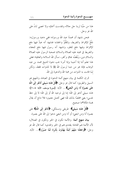هذا من حبِّنا لربنا حلَّ حلاله وتقدست أسماؤه ولا نحصي ثناءَ على الله عز وجل.

فنحن نشهد أن محمدًا عبد الله ورسوله؛ ففي «عبد ورسول»: دَفْعٌ للإفراط والتفريط، وللغُلُوِّ والجفاء؛ فتشهد أنه عبدٌ فيها دفع للإفراط وفيها دفع للغلو، وتشهد أنه رسول فيها دفع للجفاء والتفريط في محبته عليه الصلاة والسلام؛ فمحبة الرسول عليه الصلاة والسلام دين، وبُغْضُه نفاقٍ وكفرٍ، نسأل الله السلامة والعافية؛ فعلي هذا تعلم أننا إذا أحببنا وإذا أمرنا بحب دعوة الشيخ محمد بن عبد الوهاب فإنما هو من حبنا لرسول الله ﷺ لا للذوات فقط، ولكن لِمَا قامت به الذوات من محبة الله والدعوة إلى الله.

ثم إن الكلمة في بيان منهج أئمة الدعوة في العبادة، والمنهج هو السبيل والطريق؛ كما قال عز وحل: ﴿قُلْ هَٰذِهِ سَبِيلِي أَدْعُو إِلَى اللَّهِ عَلَمِي بَصِيرَةٍ أَنَا وَمَن اتَّبَعَنيٍّ﴾... الآية. [سورة يوسف، الآية: ١٠٨]؛ هذه سبيلي أدعو إلى الله؛ إما إلى توحيد الله أو إلى الله؛ لا إلى حظ نفسي؛ يعني مخلصًا بذلك لله؛ فهي تحتمل معنيين؛ فلا مانع أن يقال بهما؛ فكلاهما صحيح.

﴿قُلْ هَٰذِهِ سَبِيلِي﴾: طريقي ومسلكي، ﴿أَدْعُو إِلَى اللَّهِ﴾ على بصيرة أنا ومن اتبعني؛ أو أنا ومن اتبعني ندعوا إلى الله على بصيرة.

**بيان منهج أئمة**: والأئمة تكون في الخير وتكون في الضلال؛ لأن الأئمة هم القادة؛ يقتدى بمم في الخير والهدى؛ كما قال الله عز وجل: ﴿وَجَعَلْنَا مِنْهُمْ أَئِمَّةً يَهْدُونَ بِأَمْرِنَا لَمَّا صَبَرُوا﴾... الآية.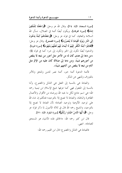[سورة السجدة، الآية: ٢٤]، وقال الله عز وجل: ﴿وَاجْعَلْنَا لِلْمُتَّقِينَ إِمَاهًا﴾ [سورة الفرقان]، ويكون أيضًا أئمة في الضلال، نسأل الله السلامة والعافية، كما في قوله عز وجل: ﴿وَجَعَلْنَاهُمْ أَئِمَّةً يَدْعُونَ إِلَى النَّارِ وَيَوْمَ الْقِيَامَةِ لَا يُنْصَرُونَ﴾ [سورة القصص]، وقال عز وحل: ﴿فَقَاتِلُوا ۖ أَئِمَّةَ الْكُفْرِ ۚ إِنَّهُمْ لَا أَيْمَانَ لَهُمْ لَعَلَّهُمْ يَنْتَهُونَ﴾ [سورة التوبة] . والدعوة أيضًا تكون إلى الخير وتكون إلى شر؛ كما في قوله ﷺ: «من دعا إلى هدى كان له من الأجر مثل أجور من تبعه لا ينقص من أجورهم شيئًا، ومن دعا إلى ضلالة كان عليه من الإثم مثل آثام من تبعه لا ينقص من آثامهم شيئًا».

فأئمة الدعوة أئمة حير، أئمة نصر للدين وللحق وللأمر بالمعروف وللنهي عن المنكر.

والعبادة هي بالنسبة إلى الفعل هي التذلل والخضوع، وأما بالنسبة إلى المفعول فهي كما عرفها شيخ الإسلام ابن تيمية رحمه الله؛ هي اسم جامع لكل ما يحبه الله ويرضاه من الأقوال والأعمال الظاهرة والباطنة، والعبادة لا تصح إلا بالتوحيد؛ فنتكلم إن شاء الله على توحيد الألوهية وتوحيد العبادة؛ لأن العبادة لا تصح إلا بالتوحيد، والشيخ رحمه الله قال في ثلاثة الأصول لما ذكر قوله عز وحل: ﴿يَا أَيُّهَا النَّاسُ اعْبُدُوا رَبَّكُمُ﴾ [سورة البقرة، الآية: ٢١].

قال ابن كثير رحمه الله: «الخالق لهذه الأشياء هو المستحق للعبادة». انتهى.

فالعبادة هي التذلل والخضوع؛ قال ابن القيم رحمه الله: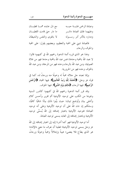مع ذل عابده همــا قطبـــان وعبادة الرحمن غايسة حبسه ما دار حتى قامت القطبـــان وعليهما فلك العبادة دائسه ومداره بالأمر أمر رســوله لا بالهوى والنفس والشيطان

فالعبادة تنبني على المحبة والتعظيم، وبعضهم يقول: على المحبة والخوف والرجاء.

وهذا هو الذي قرره أئمة الدعوة رحمهم الله في كتبهم؛ قالوا: لا نعبد الله بالمحبة وحدها؛ فمن عبد الله بالمحبة وحدها فهو من غلاة الصوفية، ومن عبد الله بالرجاء وحده فهو من المرجئة، ومن عبد الله بالخوف وحده فهو من الحرورية.

وإنما نعبده جل جلاله محبةً له وحوفًا منه ورجاءً له، كما في قوله عز وحل: ﴿الْحَمْدُ لِلَّهِ رَبِّ الْعَالَمِينَ﴾: فيها المحبة، ﴿الرَّحْمَنِ الرَّحِيمِ﴾: فيها الرحاء، ﴿مَالِكِ يَوْمِ الدِّينِ﴾: فيها الخوف.

وقد قرر أئمة الدعوة رحمهم الله في كتبهم؛ كالدرر السنية وغيرها من الكتب على توحيد الألوهية أتم تقرير وأحسن كلام وأشفى بيان وأوضح تبيان؛ حيث بيَّنوا ذلك بيانًا شافيًا كافيًا، وسنتكلم إن شاء الله على أن توحيد الألوهية وعلى أنه توحيد العبادة؛ فتوحيد الألوهية باعتبارٍ إضافته إلى الله يُسمَّى توحيد الألوهية وباعتبار إضافته إلى العابد يسمى توحيد العبادة.

أما توحيد الألوهية فهو كما أشرنا إليه إلى اعتبار إضافته إلى الله عز وجل يسمى توحيد الألوهية؛ فعلينا أن نعرف ما معين «الإله»؛ هو الذي يطاع فلا يعصى؛ هيبةً وإجلالاً ومحبةً وخوفًا ورجاءً،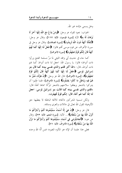وهل يسمى «إله» غير الله.

الجواب: نعم؛ لقوله عز وجل: ﴿وَمَنْ يَلاْعُ مَعَ اللَّهِ إِلَهًا آَخَرَ لَا بُوْهَانَ لَهُ بِهِ﴾ الآية [سورة المؤمنون: الآية: ١١٧]، وقال عز وجل: ﴿أَئِفْكًا آَلِهَةً دُونَ اللَّهِ تُرِيدُونَ﴾ [سورة الصافات]، وقال عز وحل في سورة الأعراف عن قوم موسى ألهم قالوا: ﴿اجْعَلْ لَنَا إِلَهًا كَمَا لَهُمْ آلِهَةٌ قَالَ إِنَّكُمْ قَوْمٌ تَجْهَلُونَ﴾ [سورة الأعراف].

كما جاء في حديث أبي واقد الليثي لما مرَّ مسلمة الفتح ورأوا ذات أنواط؛ قالوا: يا رسول الله: احعل لنا ذات أنواط كما لهم ذات أنواط، قال: «الله أكبر قلتم والذي نفسي بيده كما قال بنو إسرائيل لموسى ﴿اجْعَلْ لَنَا إِلَهًا كَمَا لَهُمْ آَلِهَةٌ قَالَ إِنَّكُمْ قَوْمٌ تَجْهَلُونَ﴾» [سورة الأعراف]؛ قَال الله عز وحل: ﴿إِنَّ هَؤُلَاء مُتَبَّرٌ مَا هُمْ فِيهِ وَبَاطِلٌ مَا كَانُوا يَعْمَلُونَ﴾ [سورة الأعراف]؛ فلما طَلبوا أن يتبركوا بالشحر ويعلقوا سلاحهم بالشحر تبرُّكًا سماها آلهةً؛ قال: «قلتم والذي نفسي بيده كما قالت بنو إسرائيل لموسى: اجعل لنا إلهًا كما لهم آلهة، قال: إنكم قومٌ تجهلون».

ولكن تسمية المشركين «آلهة» للآلهة الباطلة لا يعطيها حق الألوهية؛ لقول الله تعالى في «اللات والعزى ومناة».

قال عز وحل: ﴿إِنْ هِيَ إِلَّا أَسْمَاءٌ سَمَّيْتُمُوهَا أَنْتُمْ وَآَبَاؤُكُمْ مَا أَنْزَلَ اللَّهُ بِهَا مِنْ سُلْطَاَنٍ﴾... اَلآية. [سورة النجم، الآية: ٢٣]، وقال عن هود: ۗ ﴿أَتُجَادِلُونَنِي فِي أَسْمَاء سَمَّيْتُمُوهَا أَنْتُمْ وَآَبَاؤُكُمْ مَا نَزَّلَ اللَّهُ بهَا مِنْ سُلْطَانٍ﴾ [سورة الأعرافُ، الآية: ٧١].

فعلى هذا علمنا أن الإله هو المألوه المعبود؛ فمن ألَّهَ الله وحده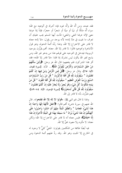فقد عبده، ومن ألَّه الله وألَّه غيره فإنه أشرك في ألوهيته مع الله؛ سواء أَلَّه ملكًا أو نبيًا أو ميتًا أو شجرًا أو حجرًا، فإذاً إذا عرفنا معنى الإله عرفنا النفي والمنفي؛ فأنت أيها المسلم يجب عليك أن تعرف ما نفيت في «لا إله»؛ لأنه يوجد من يقول: «لا إله» معناه لا قادر على الاختراع إلا الله، وهذا رَدَّه أئمةُ الدعوة، وهو قول الأشاعرة ونحوهم؛ قالوا: لا قادر إلا الله. معناه: ألهم يقرُّون بتوحيد الربوبية؛ فيدخل في التوحيد على قولهم هذا من يدعو غير الله، ومن يذبح لغير الله يكون ليس بمشرك إذا قلنا: «لا قادر إلا الله»؛ فقد أقر هذا المشركون فلم ينفعهم؛ قال الله عز وحل: ﴿وَلَٰٓئِنْ سَأَلْتَهُمْ مَنْ حَلَقَ السَّمَاوَاتِ وَالْأَرْضَ لَيَقُولُنَّ اللَّهُ﴾... الآية. [سورة لقمان، الآية: ٢٥]، وقال عز وحل: ﴿قُلْ لِمَنِ الْأَرْضُ وَمَنْ فِيهَا إِنْ كُنْتُمْ تَعْلَمُونَ \* سَيَقُولُونَ لِلَّهِ قُلْ أَفَلَا تَذَكَّرُونَ \* قُلْ مَنْ رَبُّ السَّمَاوَاتِ السَّبْعِ وَرَبُّ الْعَرْشِ الْعَظِيمِ \* سَيَقُولُونَ لِلَّهِ قُلْ أَفَلَا تَتَّقُونَ \* قُلْ مَنْ بيَدِهِ مَمَلكُوتُ كُلِّ شَيْء وَهُوَ يُجيرُ وَلَا يُجَارُ عَلَيْهِ إنْ كُنْتُمْ تَعْلَمُونَ \* سَيَقُولُونَ لِلَّهِ قُلْ فَأَنَّى تُسْحَرُونَ﴾ [سورة المؤمنون، الآية: ٨٤–٨٩]؛ فهم مقرُّون بأنه لا قادر إلى الله.

ولهذا لما قال لهم النبي ﷺ: «قولوا لا إله إلا الله تفلحوا». قال الله عنهم في سورة «ص» أنهم قالوا: ﴿أَجَعَلَ الْأَلِهَةَ إِلَهًا وَاحِدًا إِنَّ هَذَا لَشَىّٰهٌ عُجَابٌ \* وَانْطَلَقَ الْمَلَأُ مِنْهُمْ أَنِ امْشُوا وَاصْبِرُوا عَلَى آَلِهَتِكُمْ إِنَّ هَذَا لَشَيْءٌ يُرَادُ \* مَا سَمِعْنَا بهَذَا فِي الْمِلَّةِ الْآَخِرَةِ إِنْ هَذَا إلَّا اخْتِلَاقَ﴾؛ فليس معناه أنه لا قادر عَلى الاحتراع إلا الله؛ ولكن مَعناه: لا مألوه ولا معبود بحقٍّ إلا الله.

فيه أيضًا طائفة من المتكلمين يقولون: المنفيُّ كليٌّ لا وجود له في الخارج إلا المثبت وهو الله. وقد ردَّ عليهم أئمة الدعوة ومن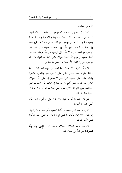تقدم من العلماء.

أيضًا قال بعضهم: إنه «لا إله موجود إلا الله»؛ فهؤلاء قالوا: كل ما في الوجود هو الله. فغلاة المتصوفة والاتحادية وأهل الوحدة ونحوهم قالوا: كل ما في الوجود هو الله؛ إن عبدت شجرًا فهو الله، وإن عبدت شخصًا فهو الله، وإن عبدت مخلوقًا فهو الله، كل الوجود هو الله، فلا إله إلا الله، كل الوجود هو الله، وهذا أيضًا بين أئمة الدعوة , حمهم الله خطأ؛ هؤلاء قالوا لابد أن نقول «لا إله موجود حق إلا الله»؛ لأن هذا يبين معنى ما قلنا أولاً.

لابد أن تعرف أن هناك آلهة تعبد من دون الله؛ لكنها آلهة باطلة؛ فالإله اسم جنس يطلق على المعبود بحق والمعبود بباطل؛ ولكنه غلب على المعبود بحق؛ فهو لا يطلق إلاَّ على الله؛ فهؤلاء عبدوا غير الله وزعموا ألهم ما أشركوا في عبادة الله؛ لأسباب عدم معرفتهم لمعنى «الإله» الذي نفوا، على هذا نعرف أنه «لا إله» لا معبود بحق إلا الله.

فلو قال إنسان: أنا لما أقول «لا إله» قبل أن أقول «إلا الله» أنفي جميع «الآلهة»؟

الجواب: هذا ليس بصحيح؛ أئمة الدعوة بيَّنوا خطأ هذا وقالوا: إذا قلت: «لا إله» فأنت ما تنفي الإله الحق؛ ما تنفي جميع الآلهة؛ تنفي الآلهة الباطلة.

فإبراهيم عليه الصلاة والسلام حينما قال: ﴿إِنَّنِي بَوَاءٌ مِمَّا تَعْبُدُونَ﴾ هل تبرأ من عبادته لله.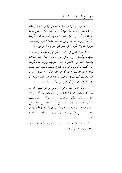– الجواب: لم يتبرأ من عبادته لله؛ بل تبرأ من الآلهة الباطلة؛ فأئمة الدعوة رحمهم الله بيَّنوا أنك إذا نفيت فأنت تنفى الآلهة الباطلة قبل أن تقول: «إلا الله»؛ فأنت في الأصل ما نفيت ألوهية الله؛ لأن ربوبية الله عز وحل قد فطر عليها الخلق، والمشركون يعرفون الله ولا أنكره إلا نزر قليل ممن كابر وعاند من بني آدم.

فالمشركون الذين نزل القرآن بشركهم وكفرهم واستبيحت دماؤهم وأموالهم، وإذا ماتوا على ذلك- نسأل الله السلامة والعافية– فهم من الخالدين في النار، يعترفون بربوبية الله وبألوهية الله؛ لكنهم ما أفردوه بالألوهية؛ كما في تلبيتهم «لبيك اللهم لبيك، لبيك لا شريك لك إلا شريكًا هو لك، تملكه وما ملك»؛ أي أن هذا الشريك تحت قهرك ولكنهم أشركوا في هذه التلبية؛ فعلينا أن ننتبه لهذه المسألة؛ وهي أن المنفي هي الآلهة الباطلة فقط.

وقد ذكر الشيخ عبد الرحمن بن حسن عن ابن القيم رحمه الله تعالى أن المستثنى وهو «إلا الله» مخرج من المستثنى منه؛ أي من «لا إله» ومن حكمه أيضًا، وربما البعض يقرؤها ولا يَدْر ما معنى ذلك، أنا أريد أن نتأملها الآن، وإذا رحع الواحد منا يفتح كتاب فتح المحيد ويقرؤها من كلام ابن القيم المستثنى في «لا إله إلا الله»؛ يقول رحمه الله: مخرج المستثنى منه؛ أي من الآلهة الباطلة ومن حكمه أيضًا.

أما توحيد الألوهية فهو توحيد الإله؛ وهو كلام فيه بسط وتفصيل لأئمة الدعوة رحمهم الله.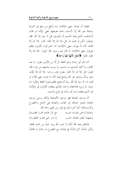فعلينا أن نعرف معنى «الإله»، وما أوقع من وقع في الشرك وعبادة غير الله إلا لأسباب عدم معرفتهم لمعنى الإله؛ لو قلت لأحدهم– الذي يعبد الحسين أو البدوي: قل لا سيد إلا الله. فقد يتوقف؛ لكن لو قلت له: قل «لا إله إلا الله». قال: «لا إله إلا الله»؛ لأنه لا يعرف معنى «الإله»؛ أما المشركون الأولون فإنهم يعرفون معنى «الإله»؛ لما قال لهم رسول الله: قولوا: «لا إله إلا الله». قالوا: ﴿أَجَعَلَ الْآلِهَةَ إِلَهًا وَاحِدًا﴾.

أما مشركو زماننا وهم أغلظ شركًا من الأولين يقول: يا عبد القادر، يا أحمد البدوي، يا حسين، يا زينب؛ يناديهم من دون الله؛ تقول: قل «لا إله إلا الله». يقول عشر مرات: «لا إله إلا الله»، وهو يسأل ويدعو غير الله ويذبح لهم؛ لأنه ما عرف معنى الإله، لو قلت له: لا سيد إلا الله، ربما أنه يمتنع؛ فإلهم غيروا اللفظ وقالوا: إنه سيد؛ إنه ولي؛ فالاعتقاد واحد؛ فالذي يعتقده الأولون في «الإله» هو الذي يعتقده مشركو زماننا في الولي والسيد.

أما توحيد العبادة فهو توحيد الألوهية؛ ولكنه يسمى توحيد العبادة باعتبار إضافته إلى العابد، والعبادة هي التذلل والخضوع والاستسلام؛ كما أشرنا إليه في قول ابن القيم رحمه الله: وعبادة الرحمن غايسة حبسه مع ذل عابده همسا قطبان وعليهما فلك العبادة دائسر مسمعا دار حتى قامت القطبان

فالمنافق يعبد الله لكنه لا يحب الله يريد شيئًا من الدنيا فقط؛ ولكن الشأن كل الشأن في عبادته مع الخضوع له والذل له ظاهرًا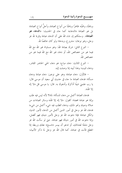وباطنًا، ومحبَّته ظاهرًا وباطنًا من أنواع العبادة، وأحلَّ أنواع العبادة؛ بل هو العبادة «الدعاء» كما جاء في الحديث: «**الدعاء هو العبادة**». وسنتكلم إن شاء الله على أن الدعاء عبادة وقربة لله عز وجل، وهو نوعان: مشروع، وبدعة؛ ولو كان حالصًا لله.

– النوع الثاني: شرك بعبادة الله: وهو مساواة غير الله مع الله فيما هو من خصائص الله، أو دعاء غير الله مع الله فيما هو من خصائص الله.

– النوع الثالث: دعاء مباح؛ هو دعاء الحي الحاضر القادر، ودعاء الميت؛ وهذا أبينه إذا وصلت إليه.

– فالأول: دعاء عبادة؛ وهو على نوعين: دعاء عبادة ودعاء مسألة؛ فدعاء العبادة ما جاء في حديث أبي سعيد أن موسى قال: يا رب علمني شيئًا أذكرك وأدعوك به. قال: يا موسى قل «لا إله الا الله».

فدعاء العبادة أكمل من دعاء المسألة؛ لماذا؟ لأنه ليس فيه طلب وإنما هو عبادة محضة؛ كقول: «لا إله إلا الله» وسائر العبادات من صلاة وصيام ونحو ذلك، ودعاء الطلب فيه شيء أكمل من شيء؛ فدعاء الله عز وجل في أمور الدين أكمل من الدعاء لأمور الدنيا، والكل عبادة؛ فإذا دعوت الله عز وجل لأمور دينك فهو أفضل، وإذا دعوت الله في أمور دنياك فهو عبادة، حيّ لو سألت الله عز وجل ملحًا لعشائك، أو تدعو أن ييسر «شسع» نعلك وربطه إذا انقطع فأنت في عبادة، كما قال الله عز وحل لما ذكر الأنبياء: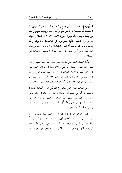﴿وَأَيُّوبَ إِذْ نَادَى رَبَّهُ أَنِّي مَسَّنِيَ الْضُرُّ وَأَنْتَ أَرْحَمُ الرَّاحِمِينَ \* فَاسْتَجَبْنَا لَهُ فَكَشَفْنَا مَا بِهِ مِنْ ضُرٍّ وَآتَيْنَاهُ أَهْلَهُ وَمِثْلَهُمْ مَعَهُمْ رَحْمَةً مِنْ عِنْدِنَا وَذِكْرَى لِلْعَابِدِينَ﴾ [سورة الأنبياء، الآية: ٨٣، ٨٤]؛ إلا قوله عز وحل: ﴿إِنَّهُمْ كَاْنُوا يُسَارِعُونَ فِي الْخَيْرَاتِ وَيَدْعُونَنَا رَغَبًا وَرَهَبًا وَكَانُوا لَنَا خَاشِعِينَ﴾ [سورة الأنبياء]؛ فالدعاء فيه رغبة ورهبة، هذا عبادة ومن أحلِّ العبادات؛ كما جاء في الحديث: «**الدعاء هو** العبادة».

وأما الدعاء الذي هو بدعة، فهو دعاء الله عند القبور؛ كأن يقف عند القبر، ويسأل الله جل وعلا؛ يقول: «يا الله اللهم اغفر لى» عند القبور؛ قاصدًا الدعاء في المقبرة وعند القبر؛ ليس أنه لما دخل لتشييع جنازة دعا الله؛ إنما ذهب عند القبر ودعا؛ لعله أن يستجاب له؛ فهذا دعاء لله؛ لكن قصد الدعاء عند القبور بدعة.

ومن الدعاء الذي ليس بمشروع التوسُّل بجاه الأنبياء؛ كقول: «اللهم إني أتوسل إليك بجاه نبيك»، هذا ليس بشرك؛ لكنه ليس بمشروع؛ كما بين ذلك أئمة الدعوة رحمهم الله وغيرهم من العلماء؛ أنه لا يجوز؛ لأنَّ التَّوَسُّلَ بالدعاء حائزٍ، والتوسُّل بالذَّوات لا يجوز؛ التوسُّلُ بالدعاء جائز .

كما جاءِ عن عمر: «إنا كنا نتوسل إليك بنبينا فتسقينا، وإنا نتوسل إليك بعم نبينا فاسْقِنا»؛ أي: بدعائه؛ فهذا جائز، أما التوسُّلُ بالذوات فهو لا يجوز، وإذا كان بالدعاء من حي حاضر تطلب منه أن يدعو لك؛ لأنه من التوسل الذي جاء به بعض الأحاديث؛ أن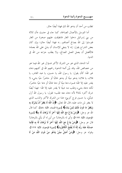تطلب من أحد أن يدعو الله لك فهذا أيضًا جائز .

أما التوسل بالأعمال الصالحة، كما جاء في حديث «أن ثلاثة من بني إسرائيل دخلوا الغار فانطبقت عليهم صخرة من الغار فتوسلوا إلى الله بصالح أعمالهم...» فهذا أيضًا حائز؛ وإن كان بعض الشراح يقول: إنه لا ينبغي للإنسان أن يدلي على الله بعمله؛ فالأفضل أن يعمل العمل الصالح، ولا يطلب جزاءه من الله في الدنيا.

أما الدعاء الذي هو من الشرك الأكبر فسؤال غير الله فيما هو من خصائص الله، وقد بيَّن أئمة الدعوة رحمهم الله في كتبهم دعاء غير الله؛ كأن يقول: يا رسول الله، يا حسين، يا عبد القادر، يا فلان، يا فلان؛ يدعو ميتًا أو يدعو غائبًا أو حاضرًا حيًا بشيء لا يقدر عليه إلا الله؛ فسواء دعا ميتًا أو دعا غائبًا أو دعا حيًا حاضرًا، لكنه دعاه بشيء وطلب منه شيئًا لا يقدر عليه إلا الله– فهذا أيضًا شرك أكبر؛ لماذا؟ لأنه دعاء معه طلب؛ تقول: يا رسول الله أزل شِدَّتي، يا حسين فرج كربتي؛ هذا من الشرك الأكبر والذنب الذي لا يغفر لمن مات عليه، قال الله تعالى: ﴿إِنَّ اللَّهَ لَا يَغْفِرُ أَنْ يُشْرَكَ بِهِ وَيَغْفِرُ مَا دُونَ ذَلِكَ لِمَنْ يَشَاءُ﴾ [سورة النساء، الآية: ٤٨]، كما قال الله عز وجل: ﴿وَمَنْ يَدْعُ مَعَ اللَّهِ إِلَهًا آَخَرَ لَا بُرْهَانَ لَهُ بِهِ﴾ [سورة المؤمنون، الآية: ١١٧]، وأين له بالبرهان! من أين له أن يأتي بالبرهان! قال عز وحل: ﴿وَمَنْ يَدْعُ مَعَ اللَّهِ إِلَهًا آَخَرَ لَا بُرْهَانَ لَهُ بِهِ فَإِنَّمَا حِسَابُهُ عِنْدَ رَبِّهِ إِنَّهُ لَا يُفْلِحُ الْكَافِرُونَ﴾ [سورة المؤمنون، الآية: ١١٧]، وقوله عز وحل: ﴿وَمَنْ أَصَلُّ مِمَّنْ يَدْعُو مِنْ دُونِ اللَّهِ مَنْ لَا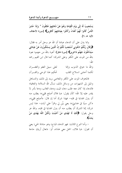يَسْتَجِيبُ لَهُ إلَى يَوْمِ الْقِيَامَةِ وَهُمْ عَنْ دُعَائِهِمْ غَافِلُونَ \* وَإِذَا حُشِرَ النَّاسُ كَانُوا لَهُمْ أَعْدَاءً وَكَانُوا بِعِبَادَتِهِمْ كَافِرِينَ﴾ [سورة الأحقاف، الآية: ٥، ٦].

ومما يدل على أن الدعاء عبادة أن الله عز وحل أمر به فقال: ﴿وَقَالَ رَبُّكُمُ ادْعُوني أَسْتَجِبْ لَكُمْ إِنَّ الَّذِينَ يَسْتَكْبِرُونَ عَنْ عِبَادَتِي سَيَدْخُلُونَ جَهَنَّمَ دَاخِرِينَ﴾ [سورة غافر]؛ أعوذ بالله من جهنم؛ نعوذ بالله من الموت على الكفر وعلى الشرك؛ كما قال ابن القيم رحمه الله:

والله ما حوفي الذنوب وإنما لعلى سبيل العفو والغفسران لكنما أخشى انسلاخ القلب تحكيم هذا الوحى والقسرآن

فالمخوف الموت على الكفر والمعاصي بريد إلى ذلك، والتساهل والميل إلى الشهوات من وسائل ذلك، نسأل الله السلامة والعافية؛ فالدعاء إذا كان معه طلب دعاء الميت ودعاء الغائب ودعا بأمر لا يقدر عليه إلا الله؛ كأن يقول: «يا فلان أصلح قلبي»؛ يطلب منه أن يترل الهداية في قلبه– فهذا شرك أما إن قال: «أصلح قلبي»، «كن سببًا في هدايتي»؛ يعني بيِّن لي واقرأ على آيات– هذا ليس شرك؛ إنما الشرك أن يطلب منه أن ينزل الهداية في قلبه، والله عز وجل يقول: ﴿إِنَّكَ لَا تَهْدِي مَنْ أَحْبَبْتَ وَلَكِنَّ اللَّهَ يَهْدِي مَنْ ىشاء**ُ)**.

– وأما النوع الثالث: فهو الدعاء المباح؛ وهو مناداة الحي؛ يعني أن تقول: «يا فلان، احمل معي هذا»، أو: «تعال أريك حاجة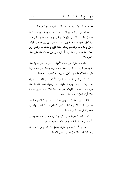معي»؛ هذا لا بأس به؛ أما دعاء الميت فكيف يكون مباحًا!

– الجواب: إذا نادي الميت بدون طلب ورغبة ورهبة؛ كما جاء في الحديث أن النبي ﷺ نادى قتلى بدر من الكفار وقال لهم: «يا أهل القليب، يا عتبة بن ربيعة، يا شيبة بن ربيعة» على قوله: «هل وجدتم ما وعدكم ربكم حقًا؛ فإني وجدت ما وعدني ربي حقًا». ما هو الفرق إذا أردنا أن نرد على من استدل هذا على دعاء الأموات؟!

– الجواب: الفرق بين دعاء الأموات الذي هو شرك، والدعاء الذي هو مجرد– أن الأول دعاء فيه طلب، وهذا ليس فيه طلب؛ مثل: «السلام عليكم يا أهل القبور»؛ لم تطلب منهم شيئًا.

أما النوع الثاني: الذي هو الشرك الأكبر الذي تقدَّم ذكره فإنه دعاء وطلب برغبة ورهبة؛ يقول: «يا رسول الله، المدد»؛ هذا شرط، «يا حسين، الغوث الغوث»، «يا فلان فرج كربيّ»، «يا فلان أزل شدتي»؛ هذا يطلب منه.

فالفرق بين دعاء الميت وبين الجائز والممنوع أن الممنوع الذي هو من الشرك الأكبر والذنب الذي لا يغفر هو أن تدعوه وتطلب منه، والجائز دعاء ليس فيه طلب.

نسأل الله أن يعيننا على ذكره وشكره وحسن عبادته، وصلى الله وسلم على نبينا محمد وعلى آله وصحبه أجمعين.

– جزى الله الشيخ خير الجزاء وجعل ما قاله في ميزان حسناته يوم القيامة، نستأذنه في عرض بعض الأسئلة: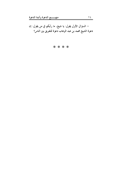– السؤال الأول يقول: يا شيخ، ما رأيكم في من يقول: إن دعوة الشيخ محمد بن عبد الوهاب دعوة للتفريق بين الناس؟

## \* \* \* \*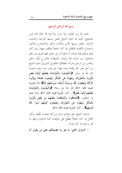بسم الله الرحمن الرحيم

الحمد لله رب العالمين ولا حول ولا قوة إلا بالله؛ هذا ليس بصحيح؛ حيث إن دعوة الشيخ حصل بسببها التوحيد واحتناب الشرك، حصل بسببها الأمن والأمان والخير والاجتماع والتآلف واجتماع الكلمة؛ فالقائل إذا كان جاهلاً فيكفيه جهله، وإن كان يعلم ويتعلم فإنه يعرف أن دعوة الرسل حصل فيها تفريق بين الحق والباطل؛ بين أولياء الله وأولياء الشيطان؛ فالشرع فَرَّق بالحق والعدل بين الرجل وامرأته بالطلاق؛ فالتفريق الذي في دعوة الشيخ من أجل نصر الله وإقامة دينه؛ فهذا حق يجب حبه ويجب نصره؛ قال الله عز وحل: ﴿وَالْمُؤْمِنُونَ وَالْمُؤْمِنَاتُ بَعْضُهُمْ أَوْلِيَاءُ بَعْض يَأْمُرُونَ بِالْمَعْرُوفِ وَيَنْهَوْنَ عَنِ الْمُنْكَرِ وَيُقِيمُونَ الصَّلَاةَ وَيُؤْتُونَ الزَّكَاةَ وَيُطِيعُونَ اللَّهَ وَرَسُولَهُ أُولَئِكَ سَيَرْحَمُهُمُ اللَّهُ﴾ الآية [سورة التوبة، الآية: ٧١]؛ قال الله حل وعلا: ﴿وَالْمُؤْمِنُونَ وَالْمُؤْمِنُونَ بَعْضُهُمْ أَوْلِيَاءُ بَعْضٌ﴾. . . الآية. [سورة التوبة، الآية: ٧١]، وقال قبلها فِي المنافقين: ﴿الْمُنَافِقُونَ وَالْمُنَافِقَاتُ بَعْضُهُمْ مِنْ بَعْضٍ يَأْمُرُونَ بِالْمُنْكَرِ ۚ وَيَنْهَوْنَ ۚ عَنِ الْمَعْرُوفِ ۚ وَيَقْبِضُونَ ۚ أَيْدِيَهُمْ ۖ نَسُوا اللَّهَ فَنَسيَهُمْ﴾... الآية. [سورة التوبة، الآية: ٦٧].

فدعوة الشيخ حق وهدى وحير وبركة؛ فيحب حبُّها؛ ولكن القائل إن كان جاهلاً فيطَّلع على مؤلفات أئمة الدعوة، وينظر ما تقر به عينه إن كان مؤمنًا.

– السؤال الثاني: ما هو رد فضيلتكم على من يقول أن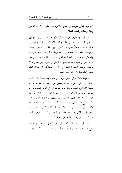التوحيد يمكن معرفته في عشر دقائق؛ فما عليك إلا معرفة من ربك ونبيك ودينك فقط؟

هذا ليس بصحيح؛ حيث إن النبي ﷺ أخذ عشر سنين يدعو إلى التوحيد قبل أن يدعو إلى باقي أركان الإسلام؛ فهذا مما يدل على عظم التوحيد وعلوٍّ قدره في الدين؛ فهو للقلب كالنفس للبدن؛ فالتوحيد كلما قرأ المسلم في كتبه ازداد انشراح صدْره للتوحيد واستنار قلبه وصار كالعطشان الذي يرغب في الماء البارد؛ فهو ماء بارد حلو، والذي يريد أن يعلم أنه ناقص في معرفة التوحيد وأنه لا يكفيه، الوقت القصير؛ فليقرأ في مدارج السالكين في منازل إياك نعبد وإياك نستعين؛ فإنه يعلم نقصه.

فالتوبة مثلاً: بعض الناس يتوب من ذنوبه ومعاصيه؛ فإن كانت التوبة من أحل مرض يرحو أن يشفى من مرضه، أو فقر يرحو أن يعطيه الله غني؛ فهذه ليست توبة صحيحة؛ بل التوبة الصحيحة أن يتوب خوفًا من الله عز وجل؛ ورجاءً لما عنده، مَن الذي بيَّن لنا هذا؟ بيَّن لنا هذا كتب التوحيد وغير ذلك، كما ذكر الشيخ رحمه الله في فتح المحيد على باب من الشرك إرادة الإنسان بعمله الدنيا؛ ذكر الذي يعمل لغير الله؛ ذكر أنواعًا؛ لكن الذي أشكل على بعض الناس الذي يعمل لله خالصًا ويكون من الشرك؛ كيف يكون من الشرك وهو يعمل لله؟ ما هو الجواب؟

– الجواب هو: أن هذا يعمل مخلصًا له؛ لا رياء فيه ولا سمعة، ومع هذا فإنه فيه شرك أصغر؛ لأنه يرجو مصلحة؛ كمن يعمل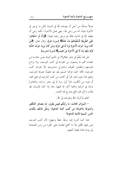عملاً صالحًا من أجل أن يعوضه الله في الدنيا؛ لكن ما يرجو في الآخرة شيئًا، أما من رجي لله– يعني عمل للآخرة– لكنه رجي أن يعطيه الله في الدنيا، فالله عز وحل رغبنا بقوله: ﴿وَأَنْ لَوِ اسْتَقَامُوا عَلَى الطَّرِيقَةِ لَأَسْقَيْنَاهُمْ مَاءً غَدَقًا﴾ [سورة الجن]، وقال تعالى: ﴿مَنْ كَانَ يُرِيدُ حَرْثَ الْآخِرَةِ نَزِدْ لَهُ فِي حَرْثِهِ وَمَنْ كَانَ يُرِيدُ حَرْثَ الدُّنْيَا نُؤْتِهِ مِنْهَا وَمَا لَهُ فِى الْآخِرَةِ مِنْ نَصِيبٍ﴾ [سورة الشورى].

هل هذا يُعْلَمُ في عشر دقائق؟! بل الذي أعرفه عمن جالسنا من العلماء ألهم ما يشبعون من القراءة في كتب التوحيد، ولا ترتاح نفوسهم وتطمئن قلوهم وتنشرح صدورهم إلا بقراءة كتب التوحيد؛ لألها كلما قرأها المسلم يجد فيه نقصًا؛ بمعرفة التوحيد، وطبق هذا يتبين لك، اقرأ في كتاب من كتب التوحيد في فتح المحيد أو غيره من الكتب، اقرأ أول مرة ثم إلى عشر مرات، والعاشرة تزداد في الرغبة والمحبة أكثر مما قبلها، هذا إذا كان الإنسان فيه إيمان، وكل علم نافع ينشرح فيه الصدر.

العلم يذكرك بالله ويقربك إلى الله.

– السؤال الثالث: ما رأيكم فيمن يقول: إن مصادر التكفير وأصولها مأخوذة من كتب أئمة الدعوة، ومثَّل لذلك بكتاب الدرر السنية لأئمة الدعوة؟

هذا كما أشرنا إليه سابقًا حطأ وجهل؛ لأن كتب التوحيد ليس فيها تكفير إلا ما أجمع العلماء على كفره من زمن الصحابة إلى يومنا هذا؛ فهذه كتبهم.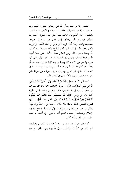المنصف إذا قرأ فيها يسأل الله قبل ويدعوه فيقول: اللهم رب حبرائيل وميكائيل وإسرافيل فاطر السموات والأرض عالم الغيب والشهادة أنت تحكم بين عبادك فيما كانوا فيه يختلفون، اهدي لما اختلف فيه من الحق بإذنك؛ إنك تهدي من تشاء إلى صراط مستقيم، واسأل ربك أنك تريد الحق وإقرأ في هذه الكتب وكررها وكرر بعض المسائل تجد فيها العلم النافع؛ لألها مستمدة من كتاب الله وسنة رسوله ﷺ، ومن إجماع سلف الأمة؛ ليس فيها أهواء وليس فيها تعسف، وليس فيها احتهادات على غير دليل وعلى غير شيء واضح من كتاب الله وسنة رسوله ﷺ؛ فالقول هذا خطأ، وقائله إن كان قد قرأ الدرر فربما أنه يوم يقرؤها في نفسه ما في نفسه؛ لأن الذي يقرأ الشيء وهو فيه هوى يصرف عن معرفة الحق حتى يتجرد من الهوى، وأدلة ذلك في كتاب الله.

كما قال الله عز وحل: ﴿سَأَصْرِفُ عَنْ آيَاتِيَ الَّذِينَ يَتَكَبَّرُونَ فِي الْأَرْضِ بغَيْرِ الْحَقِّ﴾... الآية. [سورةُ الأعراف، الآية: ١٤٦]، يصرف عن الحق بسبب إيش؛ بأسباب الكبر والهوى وعدم قبول الحق؛ كما قال عز وحل: ﴿فَإِنْ لَمْ يَسْتَجِيبُوا لَكَ فَاعْلَمْ أَنَّمَا يَتَّبِعُونَ أَهْوَاءَهُمْ وَمَنْ أَضَلَّ مِمَّنَ اتَّبَعَ هَوَاهُ بِغَيْرِ هُدًى مِنَ اللَّهِ﴾... الآية [سورة القصص، الآية: ٥٠]؛ فلا شكَ أنَ هذا قول خطأ وأنه قول باطل؛ بل هو حرام أن ينسب الإنسان إلى أئمة علماء نفع الله بهم الإسلام والمسلمين؛ ينسب إليهم أفمم يكفرون في أشياء لم يجمع العلماء على القول بأنه كفر.

كما قالوا من لدن محمد بن عبد الوهاب إلى آخرهم يقولون: نحن نكفر من كفَّر الله وكفَّره رسول الله ﷺ؛ يعني: نكفِّر من جاء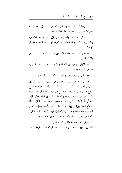كفرُه صريحًا في كتاب الله وسنة رسوله ومن نسب إلينا غير ذلك؛ فجوابنا أن نقول: سبحانك هذا بمتان عظيم.

– سؤال: هناك من يقسِّم التوحيد إلى أربعة أقسام: الألوهية والربوبية والأسماء والصفات والحاكمية؛ فهل هذا التقسيم مقبول أم لا؟

– الذي نعرفه أن العلماء المتقدمين قسَّموا التوحيد إلى قسمين وثلاثة أقسام:

– الأول: توحيد في المعرفة والإثبات؛ وهذا توحيد الربوبية و تو حيد الأسماء والصفات.

– الثاني: توحيد القصد والطلب؛ هذا توحيد الألوهية.

فالذي نعرفه عن العلماء المحققين ممن سلف من أئمة الحديث وغيرهم أفمم قسَّموا التوحيد قسمين أو إلى ثلاثة أقسام، وأما النوع الرابع فلم يتبين لي أنه يعد من أنواع التوحيد، والله أعلم بالصواب؛ لأنه داخل في توحيد الأسماء والصفات كما في قوله تعالى: ﴿إِنْ الْحُكْمُ إِلَّا لِلَّهِ﴾... الآية. [سورة الأنعام، الآية: ٥٧]، ﴿أَلَيْسَ اللَّهُ بأَحْكَم الْحَاكِمِينَ﴾ [سورة التين]؛ فالحاكم هو الله عز وحل، والخلق يحكمون بحكم الله وحكم رسوله ﷺ؛ فهو إن قصد الصفة فهي داخلة في توحيد الأسماء والصفات، والله تعالى أعلم بالصواب.

سؤال: إن أحد الدعاة في شعره يقول: الله ربى لا أريــــــــــد ســــــــــواه هل في الوجود حقيقة إلا هو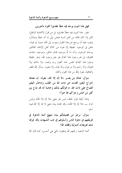فهل هذا البيت يوجد فيه خطأ عقدي؟ أفتونا مأجورين.

نعم.. هذا البيت فيه خطأ عقدي؛ بل من قول الاتحادية الباطل؛ لكن إذا كان قائله من أهل السنة فنحن نبيِّن له أنه خطأ وضلال، ويجب عليه أن يرجع عن هذا القول ويتوب إلى الله؛ حيث إن قوله: «هل في الوجود حقيقة إلا هو» من كلام أهل الإلحاد القائلين بوحدة الوجود، وأنه ما ثمَّ موجود قديم حالق، وموجود حادث مخلوق؛ بل هو وجود هذا العالم هو عين وجود الله، وهو حقيقة وجود هذا العالم؛ فليس عند القوم رب وعبد، ولا مالك ولا مملوك، ولا راحم ولا مرحوم، ولا عابد ولا معبود. نسأل الله العفو والعافية، نعوذ بالله من هذا القول وأهله.

سؤال: هناك من يفسر «لا إله إلا الله» بقوله: إن معناها إخراج اليقين الفاسد عن ذات الله من القلب وإدخال اليقين الصالح على ذات الله، ما قولكم بذلك وخاصة أنه قد شاع بين كثير من الناس وجزاكم الله خيرًا؟

وهذا أيضًا قول غلط، ليس هو معنى «لا إله إلا الله» وليس المراد بـــ «لا إله إلا الله»، وقد تقدم بيان معنى لا إله إلا الله فيما سبق.

سؤال: نرجو من فضيلتكم بيان منهج أئمة الدعوة في طريقتهم في دعوة الناس وأسلوهم في ذب الشبهات وقد عرفنا منك تعريفات أصولية وفقك الله؟

أئمة الدعوة رحمهم الله يدفعون بالتي هي أحسن؛ كما قال الله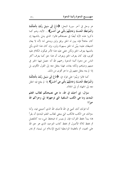عز وحل في آخر سورة النحل: ﴿ادْعُ إِلَى سَبِيلٍ رَبِّكَ بِالْحِكْمَةِ وَالْمَوْعِظَةِ الْحَسَنَةِ وَجَادِلْهُمْ بِالَّتِي هِيَ أَحْسَنُ﴾... الآية، وهم كما ذكروا هذه الآية أيضًا في مصنفالهم قالوا: الذي يدلي بالشبهة إن كان جاهلاً فإنه يبين له الحق برفق ولين ويدعى له؛ لأنه لا يعان الشيطان عليه؛ يبيَّن له الحق بسهولة ولين، وإن كان هذا الذي يأتي بالشبهة يعرف الحق ولكن خفى عليه هذا الأمر فيكون الكلام عليه أقوى، فإن كان يعرف الحق ويعرف أن هذا حق كما يعرف أكثر الناس عن دعوة أئمة الدعوة رحمهم الله أنه حصل فيها الخير في دينهم ودنياهم ولكنه يعاند، فهذا ينتقل معه إلى القول الأقوى بل إذا لم ينته ينتقل معهم إلى ما هو أقوى من ذلك.

كما قالوا وبيَّنوا على قوله في: ﴿ادْعُ إِلَى سَبِيلِ رَبِّكَ بِالْحِكْمَةِ وَالْمَوْعِظَةِ الْحَسَنَةِ وَجَادِلْهُمْ بِالَّتِي هِيَ أَحْسَنُ﴾ إذا لم ينفع فيه انتقل معه إلى الجهاد أو إلى الجلاد.

سؤال: إني أحبك في الله، ما هي نصيحتكم لطالب العلم المبتدئ وما هي الكتب السلفية التي توجهولها إلي وجزاكم الله خيرًا؟

أما قولك أنك تحبني في الله فأحبك الله الذي أحببتني فيه، وأما سؤالك عن الكتب فالكتب التي ينبغي لطالب العلم المبتدئ أن يقرأ ها؛ يبدأ بحفظ القرآن؛ فإن لم يتيسر له فبحفظ شيء منه كالمفصل ثم بحفظ ثلاثة الأصول ثم بحفظ كتاب التوحيد الذي هو حق الله على العبيد، ثم بالعقيدة الواسطية لشيخ الإسلام ابن تيمية، ثم بمتن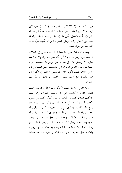من متون الفقه؛ وإن كان لا يلزم أنه يأخذ بكلِّ قول في المتن؛ لأَنِي أرى أنه لا يلزم التمذهب لمن يستطيع أن يجتهد في مسألة ويتبين له الحق فإنه يأخذ بالدليل، لكن هذا إذا كان في ابتداء الطلب فإنه مما يعينه على اختيار الراجح وعلى العمل بالدليل مما يكون عونًا له أن يختار متنًا من متون الفقه.

وقد كان سلفنا يأمرون المبتدئ بحفظ آداب المشي إلى الصلاة، ثم بعده بالزاد وغير ذلك، ولا أقول أنه يمشى مع الزاد ولا يترك منه عبارة إلا ويعمل بما؛ بل فيه ما هو مرجوح؛ كتقسيم أنواع الطهارة، وغير ذلك من الأقوال التي استحسنها بعض الفقهاء وكان الدليل بخلاف ذلك؛ فكونه يختار متنًا يسهل له النظر في الأدلة؛ لأن هذا كالطريق التي تمشي عليها ثم تختصر إن شئت إذا تبيَّن لك الصواب.

وكذلك في الحديث عمدة الأحكام وبلوغ المرام إن تيسر بحفظ ذلك، والتفسير؛ كتفسير ابن كثير وتفسير البغوي، وغير ذلك كالكتب الستة؛ كصحيح البخاري؛ يقرأه نَظِرٌ، وكصحيح مسلم، وكتب السنن؛ كسنن أبي داود والنسائي والترمذي وابن ماجه، يقتني هذه الكتب ويقرأ في شيء من مختصرات السيرة، ويكون له حظ من قيام الليل ومن سؤال الله عز وجل في الأسحار، ويكون له قراءة في الكتب المطولات، وإذا قرأ شيئًا جعل فيه علامة في الموقف الذي وقف عليه ليحل الكتب؛ لأنه يؤلم من بعض الطلاب في زماننا أنه قد يكون ما حل كتابًا؛ إنما يتابع المحاضرات والدروس، ولكن ما حل صحيح البخاري من أوله إلى آخره، ولا حل مسلمًا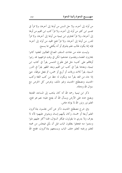من أوله إلى آخره، ولا حل السنن من أولها إلى آخرها، ولا قرأ في تفسير ابن كثير من أوله إلى آخره، ولا قرأ كتب ابن القيم من أولها إلى آخرها، ولا قرأ لفتاوى ابن تيمية من أولها إلى آخرها، ولا قرأ للدرر من أولها إلى آخرها، ولا قرأ فتح المجيد من أوله إلى آخره؛ فإنه إنما يكون طالب علم يتذوق أو أنه يكتفي بما يسمع.

وليست هذه من عادات السلف الصالح الطالبين للعلم؛ كانوا يختارون العلماء ويجلسون عندهم؛ لكن في وقت فراغهم؛ قد رتبوا أوقاهم على كتب؛ مثل قبل طلوع الشمس يقرأ في كتاب ابن تيمية، وبعدها يقرأ في كتب ابن القيم وبعد الظهر يقرأ في الدرر السنية، يقرأ ثلاث ورقات أو أربع أو حمس، ثم يجعل موقفًا، حتى إذا حاء من الغد يقرأ منه ويكون له حظ من كتب اللغة وكتب الحديث ومصطلح الحديث وغير ذلك، ويحرص كل الحرص مع سؤال الله ودعائه.

ذكر ابن تيمية رحمه الله أنه كان يذهب إلى المساحد القديمة ويضع خده على الأرض ويسأل الله أن يفتح عليه؛ نعم هو فتح، العلم نور ونور الله لا يؤتاه عاص.

وفي شرح مصطلح الحديث ذكر عن أناس يجلسون يتذاكرون العلم أربعة أو خمسة، وكان يأتيهم إنسان ويشوش عليهم؛ لأنه لا يعرف ولا يدري ما يقولون، فيكثر السؤال، فلما أكثر عليهم ملوا وسئموا منه فجعلوا يغلقون الباب قبل أن يأتي فيجلس من محبته للعلم ورغبته للعلم حلف الباب ويسمعهم يتذاكرون، ففتح الله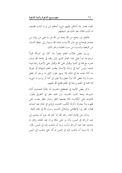عليه، فصار إذا أشكل عليهم شيء أجاهم من وراء الباب ففتحوا له الباب فكان بعد ذلك هو شيخهم.

فالعلم نور وفتح من الله وهبة من الله يمن به على من يشاء من عباده، فيحتاج مع بذل الأسباب دعاء الله وسؤال إلى حفظ اللسان من الوقعية والسب؛ من سب العلماء ونحو ذلك.

ونرى بعض طلاب العلم يتجرأ إذا كان في المسألة قولاً مرجوحًا تجرأ على هذا العالم الذي بذل وقته في طاعة الله وبذل عمره مع قلة في الدنيا وإقبال على الله وإقبال على الآخرة رغبة فيما عنده، وليس كما في زماننا الإنسان يطلب العلم لشهادة أو غيرها ما كان عنده نية في ذلك إنما يسهر طول الليل ما يرجو أن يجعل مدرسًا ولا يجعل كذا ولا يجعل ولا يعين في كذا أو يرتب له شيء؛ إنما محبة في العلم ورغبة في العلم ففتح الله عليهم.

ذكر بعض الأئمة في مصطلح الحديث أن طالبًا للحديث أثناء حروجه ومعه كتب الحديث نزل عليه مطر في الطريق يقول: فانحوى على الكتاب؛ لئلا يصيبها المطر وصار المطر يصب على ظهره ولا يتحرك إكرامًا لكتب الحديث فرؤي في المنام بعد الممات فقال: غفر لي؛ لإعظامي وإحلالي لحديث رسول الله في تلك الليلة.

وذكر عن الإمام أحمد رحمه الله أنه كان قد عزم أن يذهب إلى عبد الرزاق في اليمن، وأنه مر على مكة ورآه عند المقام، وقال له صاحبه هذا عبد الرزاق وأنت تريد أن تذهب إليه في اليمن، قال: لا، إنا نوينا أن نذهب إليه في اليمن نتركه حتى يذهب إلى اليمن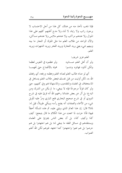فإذا ذهب نأخذ منه من هناك، كل هذا من أجل الاحتساب لا يرجون راتب ولا رتبة، لا ثناء ولا مدح أغلبهم كلهم على هذا المنوال ولا عندهم مراكب ولا عندهم ملابس ولا عندهم مساكن، والآن الواحد من طلاب العلم منا مثل الملوك أو التجار ما بينه وبينهم شيء يعني يريد التجارة ويريد الفخر ويريد الشهوات ويريد العلم.

العلم عزيز شريف: ولو عظموه في النفوس لعظما ولو أن أهل العلم صـــانوه ولكن أذلوه فهانوه ودنسوا محياه بالأطماع حتى تجهمسا

أي لو صانه طالب العلم لصانه العلم وعظمه ورفعه، أي رفعك الله به، لكن أوتيت من قبل نفسك فبعض طلاب العلم يتساهل في الاستخفاف في العلماء والمتقدمين، والاستهانة بهم وفي كتبهم، حتى ولو كان قولاً مرجوحًا فإنه لا ينبغي، ما لم يكن من الشرك ومن البدع؛ بل أثر عن بعض علمائنا رحمهم الله أنه قرئ عليه في شرح النووي أو في شرح صحيح البخاري فتح الباري ومرَّ عليه تأويل شيءِ من الأسماء والصفات أنه يضع رأسه ويبكي طويلاً، قيل له: لماذا؟ قال: إن هذا العالم الذي ويثني عليه، ثم هذه المسألة أحطأ فيها؛ فأنا حزنت لما سمعت من هذا الكلام ما قال يتبجح: كيف كذا وكيف كذا، بل أن بعض الناس يجترئ على العلماء ويستنقدهم في مسائل الفقه ما ينبغي له؛ بل هم اجتهدوا بل هم حرصوا بل هم تعبوا واحتهدوا كما احتهد غيرهم لكن الله أعلم الصو اب.